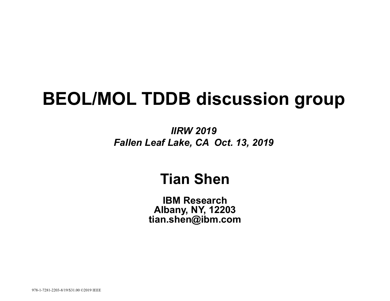# **BEOL/MOL TDDB discussion group**

*IIRW 2019 Fallen Leaf Lake, CA Oct. 13, 2019*

### **Tian Shen**

**IBM Research Albany, NY, 12203 tian.shen@ibm.com**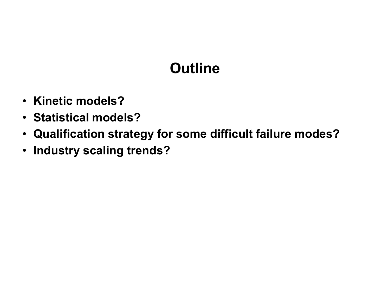# **Outline**

- **Kinetic models?**
- **Statistical models?**
- **Qualification strategy for some difficult failure modes?**
- **Industry scaling trends?**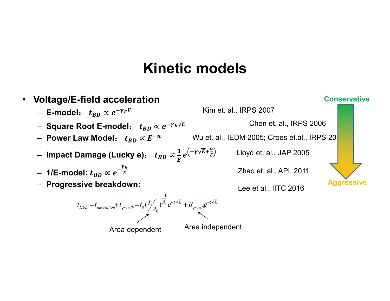#### **Kinetic models**



Area dependent Area independent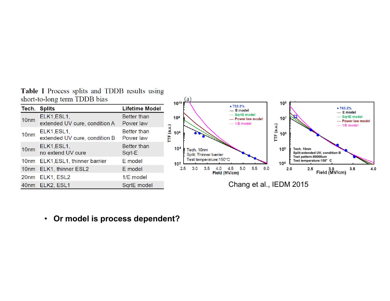Table I Process splits and TDDB results using short-to-long term TDDB bias

| short-to-long term TDDB bias |                                              |                                 | (a<br>$10^{8}$<br>10 <sup>10</sup>                                                                                                                                                                                                                                                                                                                                 |
|------------------------------|----------------------------------------------|---------------------------------|--------------------------------------------------------------------------------------------------------------------------------------------------------------------------------------------------------------------------------------------------------------------------------------------------------------------------------------------------------------------|
|                              | <b>Tech. Splits</b>                          | Lifetime Model                  | • T63.2%<br>• T63.2%<br>- E model<br>$-$ E model                                                                                                                                                                                                                                                                                                                   |
| 10 <sub>nm</sub>             | ELK1, ESL1,<br>extended UV cure, condition A | <b>Better than</b><br>Power law | - SqrtE model<br>- SqrtE model<br>10 <sup>8</sup><br>$10^{7}$<br>- Power law model<br>- Power law model<br>$-1/E$ model<br>Э<br>$-1/E$ model<br>З<br>ತ<br>≝<br>10 <sup>6</sup><br>10 <sup>6</sup><br>щ<br>Ē<br>10 <sup>4</sup><br>10 <sup>5</sup><br>Tech. 10nm<br>Tech. 10nm<br>Split: extended UV, condition B<br>Split: Thinner barrier<br>Test pattern:80000um |
| 10 <sub>nm</sub>             | ELK1, ESL1,<br>extended UV cure, condition B | Better than<br>Power law        |                                                                                                                                                                                                                                                                                                                                                                    |
| 10 <sub>nm</sub>             | ELK1, ESL1,<br>no extend UV cure             | <b>Better than</b><br>Sqrt-E    |                                                                                                                                                                                                                                                                                                                                                                    |
| 10 <sub>nm</sub>             | ELK1, ESL1, thinner barrier                  | E model                         | Test temperature: 150°C<br>Test temperature: 150° C<br>10 <sup>4</sup><br>10 <sup>2</sup>                                                                                                                                                                                                                                                                          |
|                              | 10nm ELK1, thinner ESL2                      | E model                         | 6.0<br>5.0<br>5.5<br>2.5<br>3.0<br>3.5<br>4.0<br>4.5<br>2.0<br>2.5<br>3.5<br>4.0<br>$\frac{3.0}{2}$ Field (MV/cm)<br>Field (MV/cm)                                                                                                                                                                                                                                 |
| 20 <sub>nm</sub>             | ELK1, ESL2                                   | 1/E model                       |                                                                                                                                                                                                                                                                                                                                                                    |
|                              | 40nm ELK2, ESL1                              | SqrtE model                     | Chang et al., IEDM 2015                                                                                                                                                                                                                                                                                                                                            |

• **Or model is process dependent?**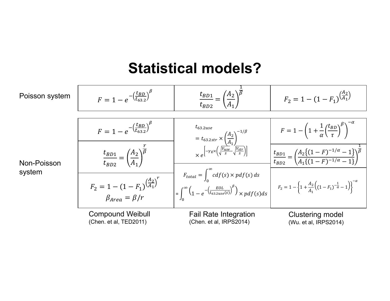#### **Statistical models?**

 $t_{BD1}$ 

 $A_2$ 

1  $\overline{\beta}$ 

 $A_2$ 

β



Non-Poisson system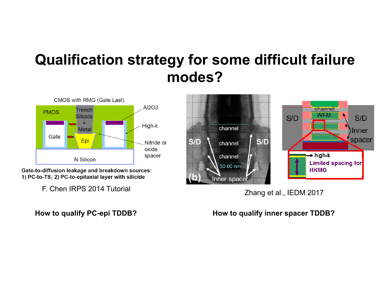## **Qualification strategy for some difficult failure modes?**



Gate-to-diffusion leakage and breakdown sources: 1) PC-to-TS; 2) PC-to-epitaxial layer with silicide

F. Chen IRPS 2014 Tutorial

#### **How to qualify PC-epi TDDB?**



Zhang et al., IEDM 2017

#### **How to qualify inner spacer TDDB?**